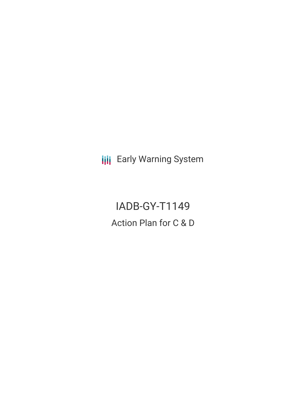**III** Early Warning System

IADB-GY-T1149 Action Plan for C & D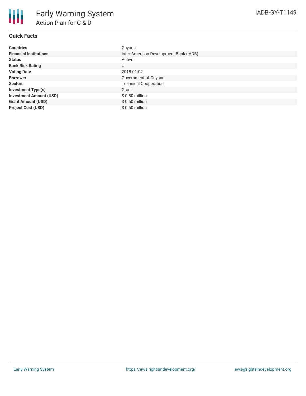

## **Quick Facts**

| <b>Countries</b>               | Guyana                                 |
|--------------------------------|----------------------------------------|
| <b>Financial Institutions</b>  | Inter-American Development Bank (IADB) |
| <b>Status</b>                  | Active                                 |
| <b>Bank Risk Rating</b>        | U                                      |
| <b>Voting Date</b>             | 2018-01-02                             |
| <b>Borrower</b>                | Government of Guyana                   |
| <b>Sectors</b>                 | <b>Technical Cooperation</b>           |
| <b>Investment Type(s)</b>      | Grant                                  |
| <b>Investment Amount (USD)</b> | $$0.50$ million                        |
| <b>Grant Amount (USD)</b>      | $$0.50$ million                        |
| <b>Project Cost (USD)</b>      | \$ 0.50 million                        |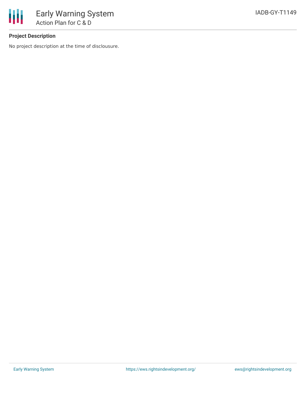

# **Project Description**

No project description at the time of disclousure.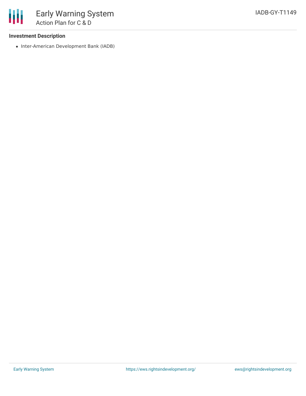### **Investment Description**

• Inter-American Development Bank (IADB)